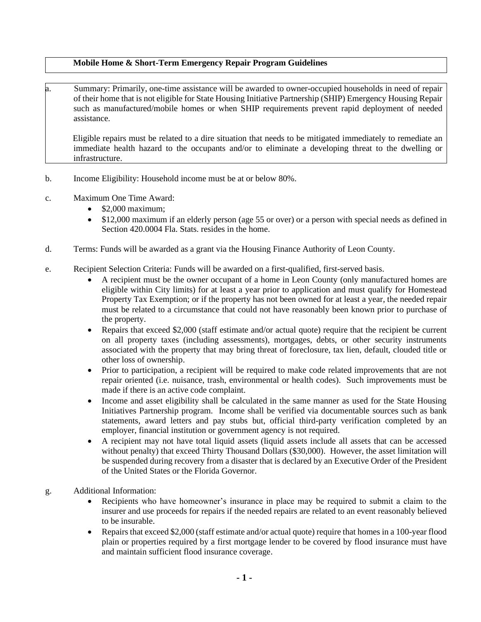## **Mobile Home & Short-Term Emergency Repair Program Guidelines**

a. Summary: Primarily, one-time assistance will be awarded to owner-occupied households in need of repair of their home that is not eligible for State Housing Initiative Partnership (SHIP) Emergency Housing Repair such as manufactured/mobile homes or when SHIP requirements prevent rapid deployment of needed assistance.

Eligible repairs must be related to a dire situation that needs to be mitigated immediately to remediate an immediate health hazard to the occupants and/or to eliminate a developing threat to the dwelling or infrastructure.

- b. Income Eligibility: Household income must be at or below 80%.
- c. Maximum One Time Award:
	- \$2,000 maximum;
	- \$12,000 maximum if an elderly person (age 55 or over) or a person with special needs as defined in Section 420.0004 Fla. Stats. resides in the home.
- d. Terms: Funds will be awarded as a grant via the Housing Finance Authority of Leon County.
- e. Recipient Selection Criteria: Funds will be awarded on a first-qualified, first-served basis.
	- A recipient must be the owner occupant of a home in Leon County (only manufactured homes are eligible within City limits) for at least a year prior to application and must qualify for Homestead Property Tax Exemption; or if the property has not been owned for at least a year, the needed repair must be related to a circumstance that could not have reasonably been known prior to purchase of the property.
	- Repairs that exceed \$2,000 (staff estimate and/or actual quote) require that the recipient be current on all property taxes (including assessments), mortgages, debts, or other security instruments associated with the property that may bring threat of foreclosure, tax lien, default, clouded title or other loss of ownership.
	- Prior to participation, a recipient will be required to make code related improvements that are not repair oriented (i.e. nuisance, trash, environmental or health codes). Such improvements must be made if there is an active code complaint.
	- Income and asset eligibility shall be calculated in the same manner as used for the State Housing Initiatives Partnership program. Income shall be verified via documentable sources such as bank statements, award letters and pay stubs but, official third-party verification completed by an employer, financial institution or government agency is not required.
	- A recipient may not have total liquid assets (liquid assets include all assets that can be accessed without penalty) that exceed Thirty Thousand Dollars (\$30,000). However, the asset limitation will be suspended during recovery from a disaster that is declared by an Executive Order of the President of the United States or the Florida Governor.
- g. Additional Information:
	- Recipients who have homeowner's insurance in place may be required to submit a claim to the insurer and use proceeds for repairs if the needed repairs are related to an event reasonably believed to be insurable.
	- Repairs that exceed \$2,000 (staff estimate and/or actual quote) require that homes in a 100-year flood plain or properties required by a first mortgage lender to be covered by flood insurance must have and maintain sufficient flood insurance coverage.